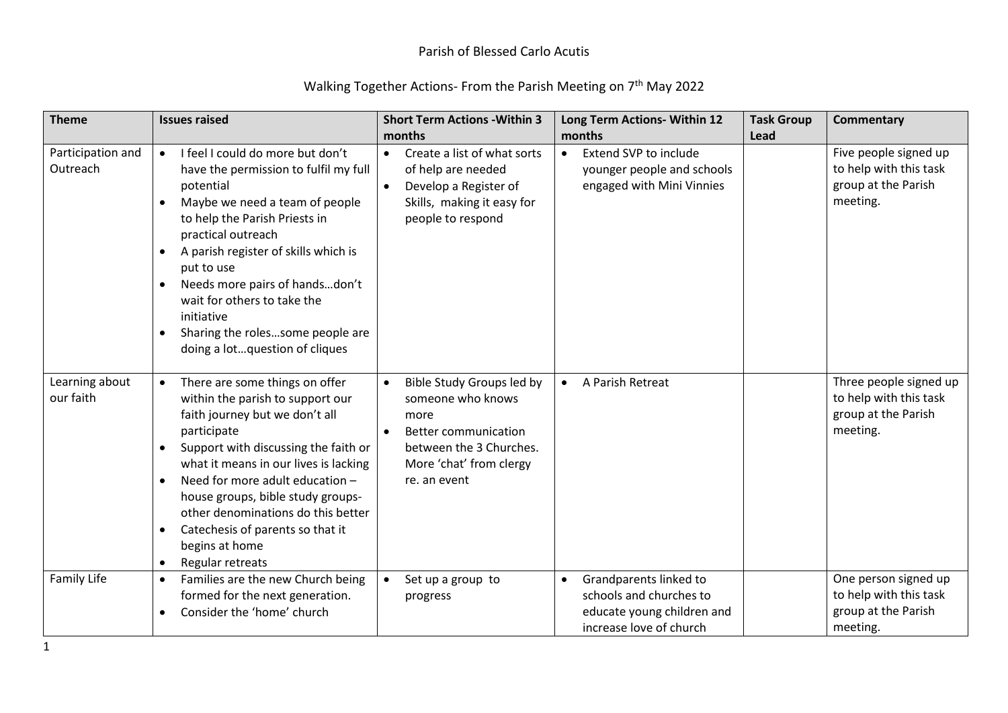| <b>Theme</b>                  | <b>Issues raised</b>                                                                                                                                                                                                                                                                                                                                                                                                                                          | <b>Short Term Actions - Within 3</b>                                                                                                                        | Long Term Actions- Within 12                                                                                            | <b>Task Group</b> | <b>Commentary</b>                                                                   |
|-------------------------------|---------------------------------------------------------------------------------------------------------------------------------------------------------------------------------------------------------------------------------------------------------------------------------------------------------------------------------------------------------------------------------------------------------------------------------------------------------------|-------------------------------------------------------------------------------------------------------------------------------------------------------------|-------------------------------------------------------------------------------------------------------------------------|-------------------|-------------------------------------------------------------------------------------|
|                               |                                                                                                                                                                                                                                                                                                                                                                                                                                                               | months                                                                                                                                                      | months                                                                                                                  | Lead              |                                                                                     |
| Participation and<br>Outreach | I feel I could do more but don't<br>have the permission to fulfil my full<br>potential<br>Maybe we need a team of people<br>to help the Parish Priests in<br>practical outreach<br>A parish register of skills which is<br>put to use<br>Needs more pairs of handsdon't<br>$\bullet$<br>wait for others to take the<br>initiative<br>Sharing the rolessome people are<br>$\bullet$<br>doing a lotquestion of cliques                                          | Create a list of what sorts<br>$\bullet$<br>of help are needed<br>Develop a Register of<br>Skills, making it easy for<br>people to respond                  | Extend SVP to include<br>$\bullet$<br>younger people and schools<br>engaged with Mini Vinnies                           |                   | Five people signed up<br>to help with this task<br>group at the Parish<br>meeting.  |
| Learning about<br>our faith   | There are some things on offer<br>$\bullet$<br>within the parish to support our<br>faith journey but we don't all<br>participate<br>Support with discussing the faith or<br>$\bullet$<br>what it means in our lives is lacking<br>Need for more adult education -<br>$\bullet$<br>house groups, bible study groups-<br>other denominations do this better<br>Catechesis of parents so that it<br>$\bullet$<br>begins at home<br>Regular retreats<br>$\bullet$ | Bible Study Groups led by<br>someone who knows<br>more<br><b>Better communication</b><br>between the 3 Churches.<br>More 'chat' from clergy<br>re. an event | A Parish Retreat<br>$\bullet$                                                                                           |                   | Three people signed up<br>to help with this task<br>group at the Parish<br>meeting. |
| Family Life                   | Families are the new Church being<br>$\bullet$<br>formed for the next generation.<br>Consider the 'home' church<br>$\bullet$                                                                                                                                                                                                                                                                                                                                  | Set up a group to<br>progress                                                                                                                               | Grandparents linked to<br>$\bullet$<br>schools and churches to<br>educate young children and<br>increase love of church |                   | One person signed up<br>to help with this task<br>group at the Parish<br>meeting.   |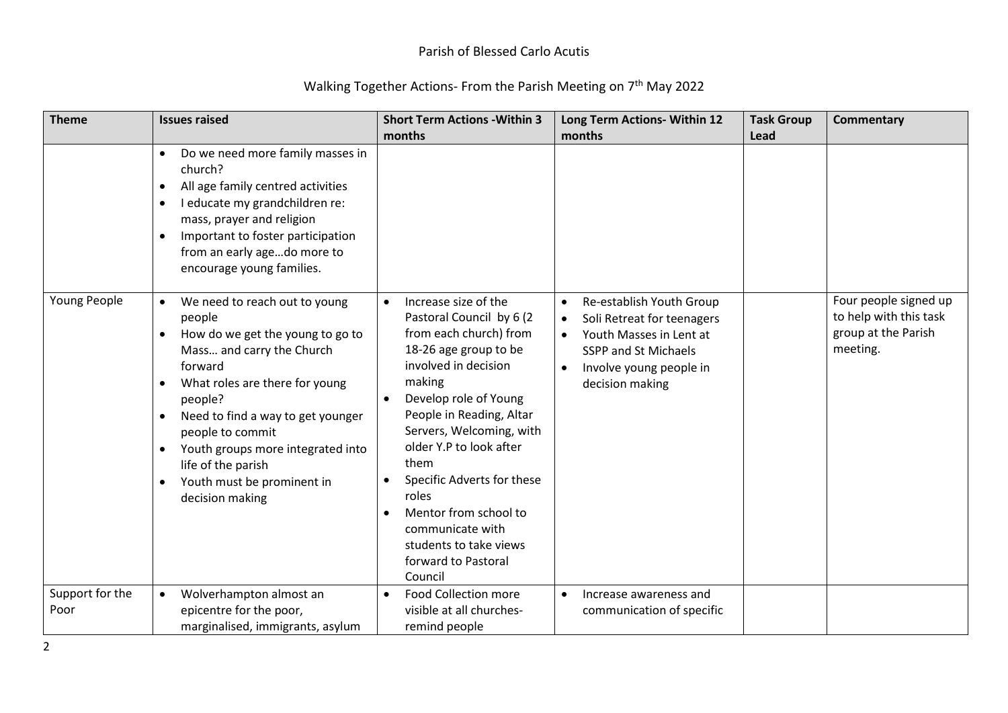| <b>Theme</b>            | <b>Issues raised</b>                                                                                                                                                                                                                                                                                                                                                                                   | <b>Short Term Actions - Within 3</b><br>months                                                                                                                                                                                                                                                                                                                                                                                      | Long Term Actions- Within 12<br>months                                                                                                                                                                | <b>Task Group</b><br>Lead | <b>Commentary</b>                                                                  |
|-------------------------|--------------------------------------------------------------------------------------------------------------------------------------------------------------------------------------------------------------------------------------------------------------------------------------------------------------------------------------------------------------------------------------------------------|-------------------------------------------------------------------------------------------------------------------------------------------------------------------------------------------------------------------------------------------------------------------------------------------------------------------------------------------------------------------------------------------------------------------------------------|-------------------------------------------------------------------------------------------------------------------------------------------------------------------------------------------------------|---------------------------|------------------------------------------------------------------------------------|
|                         | Do we need more family masses in<br>$\bullet$<br>church?<br>All age family centred activities<br>$\bullet$<br>I educate my grandchildren re:<br>$\bullet$<br>mass, prayer and religion<br>Important to foster participation<br>$\bullet$<br>from an early agedo more to<br>encourage young families.                                                                                                   |                                                                                                                                                                                                                                                                                                                                                                                                                                     |                                                                                                                                                                                                       |                           |                                                                                    |
| Young People            | We need to reach out to young<br>people<br>How do we get the young to go to<br>$\bullet$<br>Mass and carry the Church<br>forward<br>What roles are there for young<br>$\bullet$<br>people?<br>Need to find a way to get younger<br>$\bullet$<br>people to commit<br>Youth groups more integrated into<br>$\bullet$<br>life of the parish<br>Youth must be prominent in<br>$\bullet$<br>decision making | Increase size of the<br>$\bullet$<br>Pastoral Council by 6 (2<br>from each church) from<br>18-26 age group to be<br>involved in decision<br>making<br>Develop role of Young<br>People in Reading, Altar<br>Servers, Welcoming, with<br>older Y.P to look after<br>them<br>Specific Adverts for these<br>roles<br>Mentor from school to<br>$\bullet$<br>communicate with<br>students to take views<br>forward to Pastoral<br>Council | Re-establish Youth Group<br>$\bullet$<br>Soli Retreat for teenagers<br>Youth Masses in Lent at<br>$\bullet$<br><b>SSPP and St Michaels</b><br>Involve young people in<br>$\bullet$<br>decision making |                           | Four people signed up<br>to help with this task<br>group at the Parish<br>meeting. |
| Support for the<br>Poor | Wolverhampton almost an<br>$\bullet$<br>epicentre for the poor,<br>marginalised, immigrants, asylum                                                                                                                                                                                                                                                                                                    | <b>Food Collection more</b><br>visible at all churches-<br>remind people                                                                                                                                                                                                                                                                                                                                                            | Increase awareness and<br>communication of specific                                                                                                                                                   |                           |                                                                                    |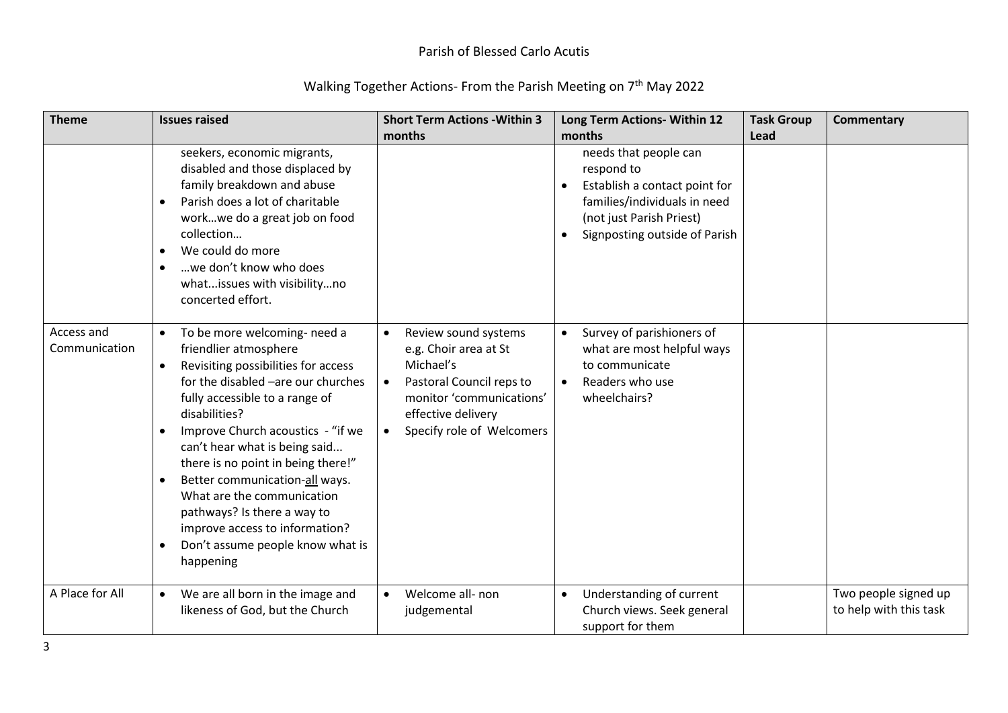| <b>Theme</b>                | <b>Issues raised</b>                                                                                                                                                                                                                                                                                                                                                                                                                                                                                                                                 | <b>Short Term Actions - Within 3</b><br>months                                                                                                                        | Long Term Actions- Within 12<br>months                                                                                                                            | <b>Task Group</b><br>Lead | <b>Commentary</b>                              |
|-----------------------------|------------------------------------------------------------------------------------------------------------------------------------------------------------------------------------------------------------------------------------------------------------------------------------------------------------------------------------------------------------------------------------------------------------------------------------------------------------------------------------------------------------------------------------------------------|-----------------------------------------------------------------------------------------------------------------------------------------------------------------------|-------------------------------------------------------------------------------------------------------------------------------------------------------------------|---------------------------|------------------------------------------------|
|                             | seekers, economic migrants,<br>disabled and those displaced by<br>family breakdown and abuse<br>Parish does a lot of charitable<br>$\bullet$<br>workwe do a great job on food<br>collection<br>We could do more<br>$\bullet$<br>we don't know who does<br>$\bullet$<br>whatissues with visibilityno<br>concerted effort.                                                                                                                                                                                                                             |                                                                                                                                                                       | needs that people can<br>respond to<br>Establish a contact point for<br>families/individuals in need<br>(not just Parish Priest)<br>Signposting outside of Parish |                           |                                                |
| Access and<br>Communication | To be more welcoming- need a<br>$\bullet$<br>friendlier atmosphere<br>Revisiting possibilities for access<br>$\bullet$<br>for the disabled -are our churches<br>fully accessible to a range of<br>disabilities?<br>Improve Church acoustics - "if we<br>$\bullet$<br>can't hear what is being said<br>there is no point in being there!"<br>Better communication-all ways.<br>$\bullet$<br>What are the communication<br>pathways? Is there a way to<br>improve access to information?<br>Don't assume people know what is<br>$\bullet$<br>happening | Review sound systems<br>e.g. Choir area at St<br>Michael's<br>Pastoral Council reps to<br>monitor 'communications'<br>effective delivery<br>Specify role of Welcomers | Survey of parishioners of<br>$\bullet$<br>what are most helpful ways<br>to communicate<br>Readers who use<br>$\bullet$<br>wheelchairs?                            |                           |                                                |
| A Place for All             | We are all born in the image and<br>likeness of God, but the Church                                                                                                                                                                                                                                                                                                                                                                                                                                                                                  | Welcome all- non<br>judgemental                                                                                                                                       | Understanding of current<br>$\bullet$<br>Church views. Seek general<br>support for them                                                                           |                           | Two people signed up<br>to help with this task |